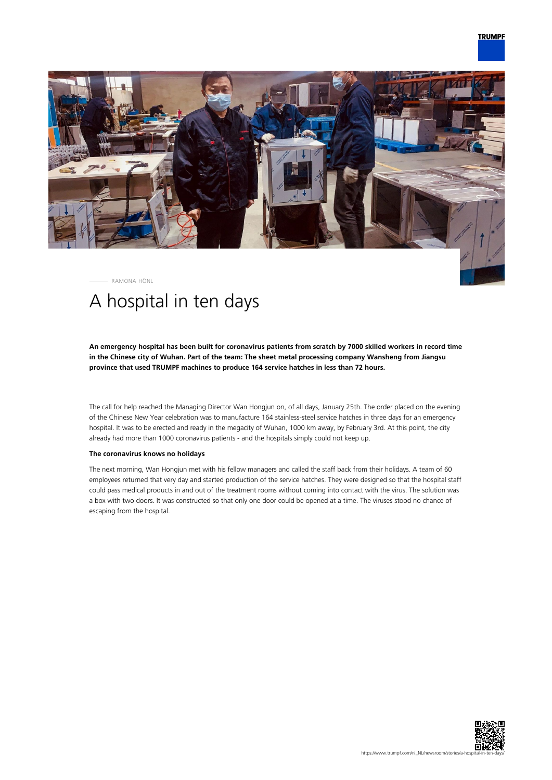

RAMONA HÖNL

## A hospital in ten days

**An emergency hospital has been built for coronavirus patients from scratch by 7000 skilled workers in record time in the Chinese city of Wuhan. Part of the team: The sheet metal processing company Wansheng from Jiangsu province that used TRUMPF machines to produce 164 service hatches in less than 72 hours.**

The call for help reached the Managing Director Wan Hongjun on, of all days, January 25th. The order placed on the evening of the Chinese New Year celebration was to manufacture 164 stainless-steel service hatches in three days for an emergency hospital. It was to be erected and ready in the megacity of Wuhan, 1000 km away, by February 3rd. At this point, the city already had more than 1000 coronavirus patients - and the hospitals simply could not keep up.

## **The coronavirus knows no holidays**

The next morning, Wan Hongjun met with his fellow managers and called the staff back from their holidays. A team of 60 employees returned that very day and started production of the service hatches. They were designed so that the hospital staff could pass medical products in and out of the treatment rooms without coming into contact with the virus. The solution was a box with two doors. It was constructed so that only one door could be opened at a time. The viruses stood no chance of escaping from the hospital.

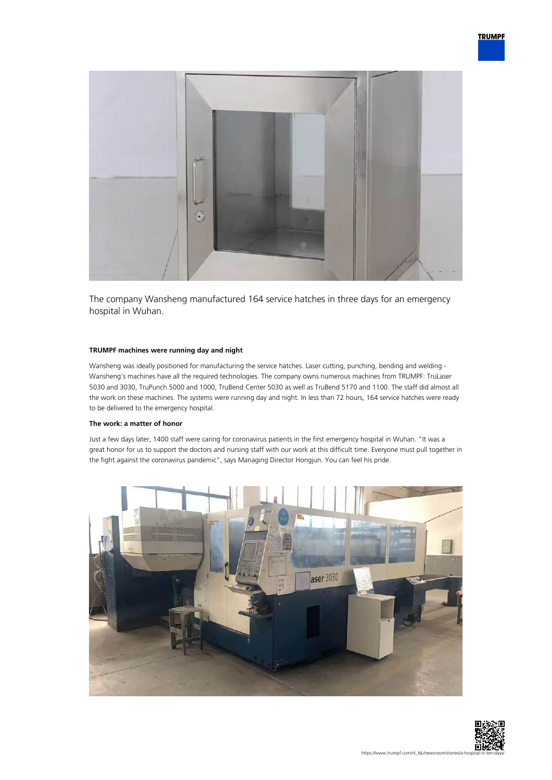

The company Wansheng manufactured 164 service hatches in three days for an emergency hospital in Wuhan.

## **TRUMPF machines were running day and night**

Wansheng was ideally positioned for manufacturing the service hatches. Laser cutting, punching, bending and welding - Wansheng's machines have all the required technologies. The company owns numerous machines from TRUMPF: TruLaser 5030 and 3030, TruPunch 5000 and 1000, TruBend Center 5030 as well as TruBend 5170 and 1100. The staff did almost all the work on these machines. The systems were running day and night. In less than 72 hours, 164 service hatches were ready to be delivered to the emergency hospital.

## **The work: a matter of honor**

Just a few days later, 1400 staff were caring for coronavirus patients in the first emergency hospital in Wuhan. "It was a great honor for us to support the doctors and nursing staff with our work at this difficult time. Everyone must pull together in the fight against the coronavirus pandemic", says Managing Director Hongjun. You can feel his pride.